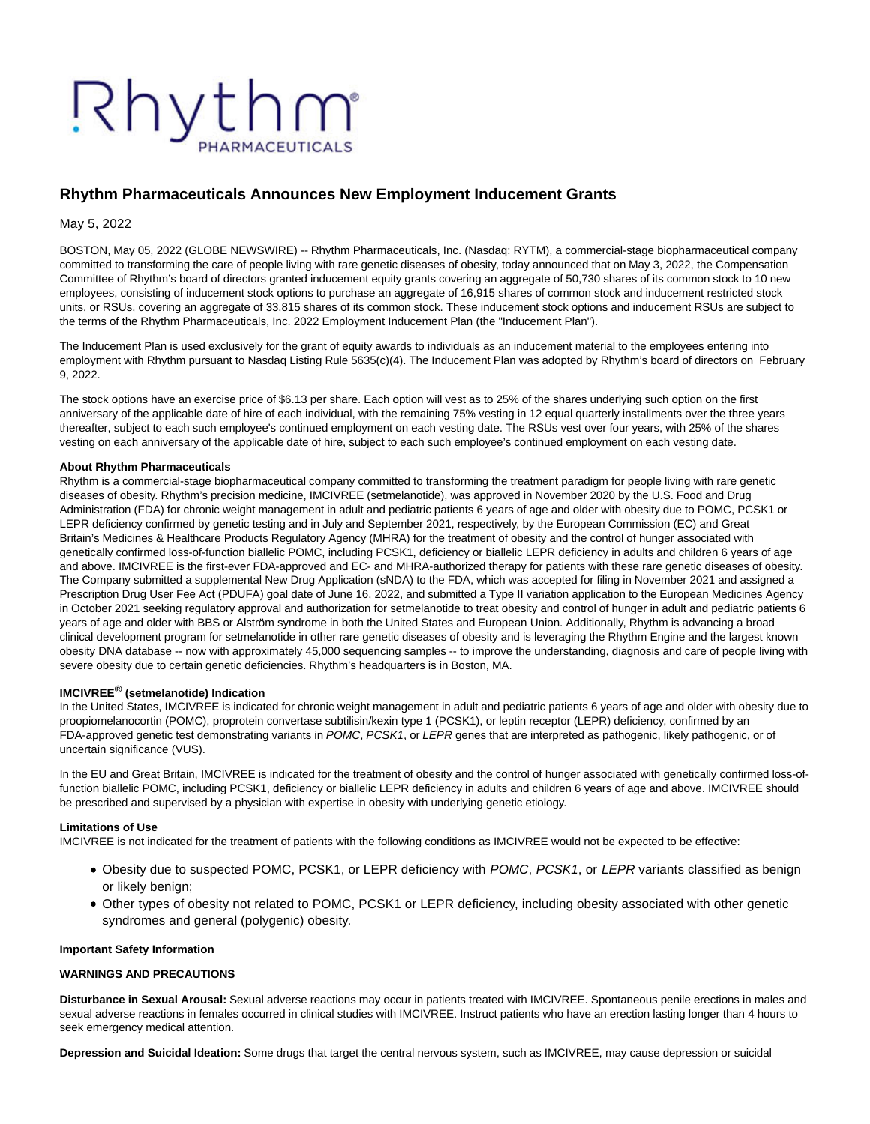# Rhythm

# **Rhythm Pharmaceuticals Announces New Employment Inducement Grants**

May 5, 2022

BOSTON, May 05, 2022 (GLOBE NEWSWIRE) -- Rhythm Pharmaceuticals, Inc. (Nasdaq: RYTM), a commercial-stage biopharmaceutical company committed to transforming the care of people living with rare genetic diseases of obesity, today announced that on May 3, 2022, the Compensation Committee of Rhythm's board of directors granted inducement equity grants covering an aggregate of 50,730 shares of its common stock to 10 new employees, consisting of inducement stock options to purchase an aggregate of 16,915 shares of common stock and inducement restricted stock units, or RSUs, covering an aggregate of 33,815 shares of its common stock. These inducement stock options and inducement RSUs are subject to the terms of the Rhythm Pharmaceuticals, Inc. 2022 Employment Inducement Plan (the "Inducement Plan").

The Inducement Plan is used exclusively for the grant of equity awards to individuals as an inducement material to the employees entering into employment with Rhythm pursuant to Nasdaq Listing Rule 5635(c)(4). The Inducement Plan was adopted by Rhythm's board of directors on February 9, 2022.

The stock options have an exercise price of \$6.13 per share. Each option will vest as to 25% of the shares underlying such option on the first anniversary of the applicable date of hire of each individual, with the remaining 75% vesting in 12 equal quarterly installments over the three years thereafter, subject to each such employee's continued employment on each vesting date. The RSUs vest over four years, with 25% of the shares vesting on each anniversary of the applicable date of hire, subject to each such employee's continued employment on each vesting date.

### **About Rhythm Pharmaceuticals**

Rhythm is a commercial-stage biopharmaceutical company committed to transforming the treatment paradigm for people living with rare genetic diseases of obesity. Rhythm's precision medicine, IMCIVREE (setmelanotide), was approved in November 2020 by the U.S. Food and Drug Administration (FDA) for chronic weight management in adult and pediatric patients 6 years of age and older with obesity due to POMC, PCSK1 or LEPR deficiency confirmed by genetic testing and in July and September 2021, respectively, by the European Commission (EC) and Great Britain's Medicines & Healthcare Products Regulatory Agency (MHRA) for the treatment of obesity and the control of hunger associated with genetically confirmed loss-of-function biallelic POMC, including PCSK1, deficiency or biallelic LEPR deficiency in adults and children 6 years of age and above. IMCIVREE is the first-ever FDA-approved and EC- and MHRA-authorized therapy for patients with these rare genetic diseases of obesity. The Company submitted a supplemental New Drug Application (sNDA) to the FDA, which was accepted for filing in November 2021 and assigned a Prescription Drug User Fee Act (PDUFA) goal date of June 16, 2022, and submitted a Type II variation application to the European Medicines Agency in October 2021 seeking regulatory approval and authorization for setmelanotide to treat obesity and control of hunger in adult and pediatric patients 6 years of age and older with BBS or Alström syndrome in both the United States and European Union. Additionally, Rhythm is advancing a broad clinical development program for setmelanotide in other rare genetic diseases of obesity and is leveraging the Rhythm Engine and the largest known obesity DNA database -- now with approximately 45,000 sequencing samples -- to improve the understanding, diagnosis and care of people living with severe obesity due to certain genetic deficiencies. Rhythm's headquarters is in Boston, MA.

### **IMCIVREE® (setmelanotide) Indication**

In the United States, IMCIVREE is indicated for chronic weight management in adult and pediatric patients 6 years of age and older with obesity due to proopiomelanocortin (POMC), proprotein convertase subtilisin/kexin type 1 (PCSK1), or leptin receptor (LEPR) deficiency, confirmed by an FDA-approved genetic test demonstrating variants in POMC, PCSK1, or LEPR genes that are interpreted as pathogenic, likely pathogenic, or of uncertain significance (VUS).

In the EU and Great Britain, IMCIVREE is indicated for the treatment of obesity and the control of hunger associated with genetically confirmed loss-offunction biallelic POMC, including PCSK1, deficiency or biallelic LEPR deficiency in adults and children 6 years of age and above. IMCIVREE should be prescribed and supervised by a physician with expertise in obesity with underlying genetic etiology.

### **Limitations of Use**

IMCIVREE is not indicated for the treatment of patients with the following conditions as IMCIVREE would not be expected to be effective:

- Obesity due to suspected POMC, PCSK1, or LEPR deficiency with POMC, PCSK1, or LEPR variants classified as benign or likely benign;
- Other types of obesity not related to POMC, PCSK1 or LEPR deficiency, including obesity associated with other genetic syndromes and general (polygenic) obesity.

### **Important Safety Information**

### **WARNINGS AND PRECAUTIONS**

**Disturbance in Sexual Arousal:** Sexual adverse reactions may occur in patients treated with IMCIVREE. Spontaneous penile erections in males and sexual adverse reactions in females occurred in clinical studies with IMCIVREE. Instruct patients who have an erection lasting longer than 4 hours to seek emergency medical attention.

**Depression and Suicidal Ideation:** Some drugs that target the central nervous system, such as IMCIVREE, may cause depression or suicidal